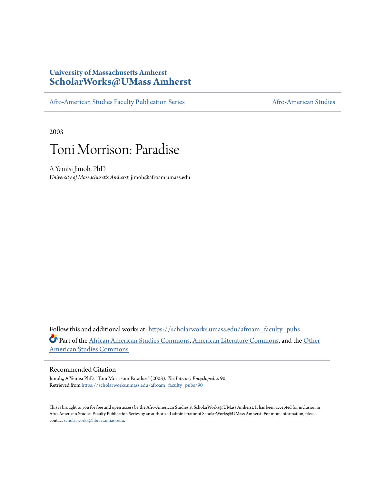### **University of Massachusetts Amherst [ScholarWorks@UMass Amherst](https://scholarworks.umass.edu?utm_source=scholarworks.umass.edu%2Fafroam_faculty_pubs%2F90&utm_medium=PDF&utm_campaign=PDFCoverPages)**

[Afro-American Studies Faculty Publication Series](https://scholarworks.umass.edu/afroam_faculty_pubs?utm_source=scholarworks.umass.edu%2Fafroam_faculty_pubs%2F90&utm_medium=PDF&utm_campaign=PDFCoverPages) [Afro-American Studies](https://scholarworks.umass.edu/afroam?utm_source=scholarworks.umass.edu%2Fafroam_faculty_pubs%2F90&utm_medium=PDF&utm_campaign=PDFCoverPages)

2003



A Yemisi Jimoh, PhD *University of Massachusetts Amherst*, jimoh@afroam.umass.edu

Follow this and additional works at: [https://scholarworks.umass.edu/afroam\\_faculty\\_pubs](https://scholarworks.umass.edu/afroam_faculty_pubs?utm_source=scholarworks.umass.edu%2Fafroam_faculty_pubs%2F90&utm_medium=PDF&utm_campaign=PDFCoverPages) Part of the [African American Studies Commons,](http://network.bepress.com/hgg/discipline/567?utm_source=scholarworks.umass.edu%2Fafroam_faculty_pubs%2F90&utm_medium=PDF&utm_campaign=PDFCoverPages) [American Literature Commons](http://network.bepress.com/hgg/discipline/441?utm_source=scholarworks.umass.edu%2Fafroam_faculty_pubs%2F90&utm_medium=PDF&utm_campaign=PDFCoverPages), and the [Other](http://network.bepress.com/hgg/discipline/445?utm_source=scholarworks.umass.edu%2Fafroam_faculty_pubs%2F90&utm_medium=PDF&utm_campaign=PDFCoverPages) [American Studies Commons](http://network.bepress.com/hgg/discipline/445?utm_source=scholarworks.umass.edu%2Fafroam_faculty_pubs%2F90&utm_medium=PDF&utm_campaign=PDFCoverPages)

#### Recommended Citation

Jimoh,, A Yemisi PhD, "Toni Morrison: Paradise" (2003). *The Literary Encyclopedia*. 90. Retrieved from [https://scholarworks.umass.edu/afroam\\_faculty\\_pubs/90](https://scholarworks.umass.edu/afroam_faculty_pubs/90?utm_source=scholarworks.umass.edu%2Fafroam_faculty_pubs%2F90&utm_medium=PDF&utm_campaign=PDFCoverPages)

This is brought to you for free and open access by the Afro-American Studies at ScholarWorks@UMass Amherst. It has been accepted for inclusion in Afro-American Studies Faculty Publication Series by an authorized administrator of ScholarWorks@UMass Amherst. For more information, please contact [scholarworks@library.umass.edu](mailto:scholarworks@library.umass.edu).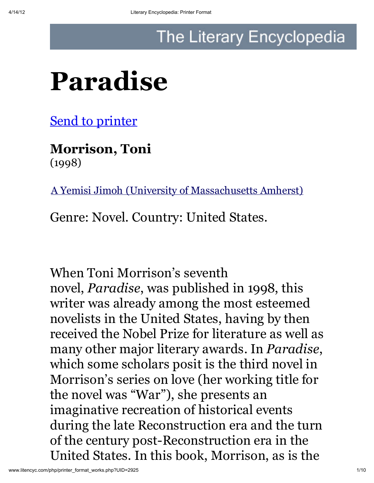## The Literary Encyclopedia

# Paradise

**Send to printer** 

Morrison, Toni (1998)

A Yemisi Jimoh (University of Massachusetts Amherst)

Genre: Novel. Country: United States.

When Toni Morrison's seventh novel, *Paradise*, was published in 1998, this writer was already among the most esteemed novelists in the United States, having by then received the Nobel Prize for literature as well as many other major literary awards. In *Paradise*, which some scholars posit is the third novel in Morrison's series on love (her working title for the novel was "War"), she presents an imaginative recreation of historical events during the late Reconstruction era and the turn of the century post-Reconstruction era in the United States. In this book, Morrison, as is the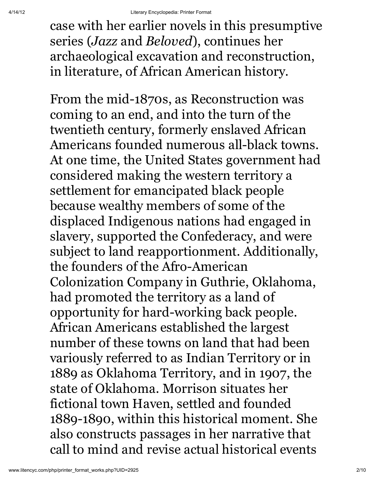case with her earlier novels in this presumptive series (*Jazz* and *Beloved*), continues her archaeological excavation and reconstruction, in literature, of African American history.

From the mid-1870s, as Reconstruction was coming to an end, and into the turn of the twentieth century, formerly enslaved African Americans founded numerous all-black towns. At one time, the United States government had considered making the western territory a settlement for emancipated black people because wealthy members of some of the displaced Indigenous nations had engaged in slavery, supported the Confederacy, and were subject to land reapportionment. Additionally, the founders of the Afro-American Colonization Company in Guthrie, Oklahoma, had promoted the territory as a land of opportunity for hard-working back people. African Americans established the largest number of these towns on land that had been variously referred to as Indian Territory or in 1889 as Oklahoma Territory, and in 1907, the state of Oklahoma. Morrison situates her fictional town Haven, settled and founded 1889-1890, within this historical moment. She also constructs passages in her narrative that call to mind and revise actual historical events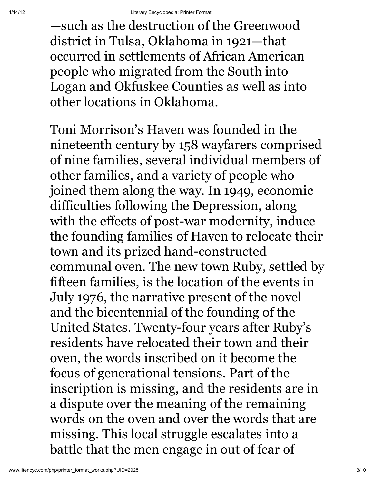—such as the destruction of the Greenwood district in Tulsa, Oklahoma in 1921—that occurred in settlements of African American people who migrated from the South into Logan and Okfuskee Counties as well as into other locations in Oklahoma.

Toni Morrison's Haven was founded in the nineteenth century by 158 wayfarers comprised of nine families, several individual members of other families, and a variety of people who joined them along the way. In 1949, economic difficulties following the Depression, along with the effects of post-war modernity, induce the founding families of Haven to relocate their town and its prized hand-constructed communal oven. The new town Ruby, settled by fifteen families, is the location of the events in July 1976, the narrative present of the novel and the bicentennial of the founding of the United States. Twenty-four years after Ruby's residents have relocated their town and their oven, the words inscribed on it become the focus of generational tensions. Part of the inscription is missing, and the residents are in a dispute over the meaning of the remaining words on the oven and over the words that are missing. This local struggle escalates into a battle that the men engage in out of fear of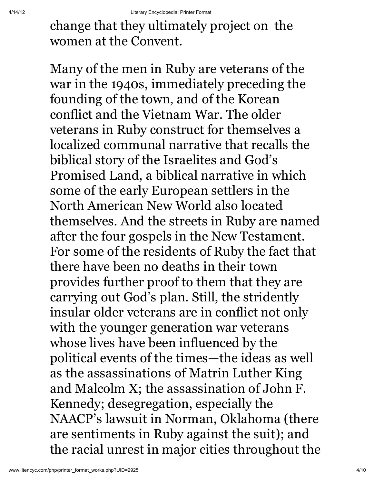change that they ultimately project on the women at the Convent.

Many of the men in Ruby are veterans of the war in the 1940s, immediately preceding the founding of the town, and of the Korean conflict and the Vietnam War. The older veterans in Ruby construct for themselves a localized communal narrative that recalls the biblical story of the Israelites and God's Promised Land, a biblical narrative in which some of the early European settlers in the North American New World also located themselves. And the streets in Ruby are named after the four gospels in the New Testament. For some of the residents of Ruby the fact that there have been no deaths in their town provides further proof to them that they are carrying out God's plan. Still, the stridently insular older veterans are in conflict not only with the younger generation war veterans whose lives have been influenced by the political events of the times—the ideas as well as the assassinations of Matrin Luther King and Malcolm X; the assassination of John F. Kennedy; desegregation, especially the NAACP's lawsuit in Norman, Oklahoma (there are sentiments in Ruby against the suit); and the racial unrest in major cities throughout the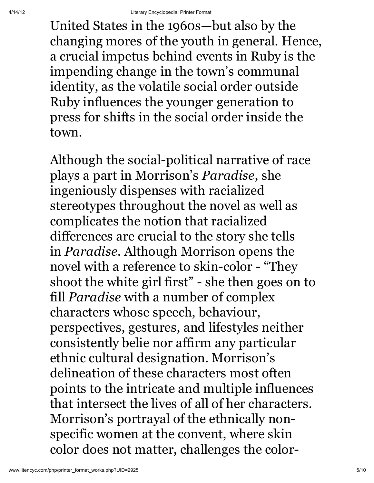United States in the 1960s—but also by the changing mores of the youth in general. Hence, a crucial impetus behind events in Ruby is the impending change in the town's communal identity, as the volatile social order outside Ruby influences the younger generation to press for shifts in the social order inside the town.

Although the social-political narrative of race plays a part in Morrison's *Paradise*, she ingeniously dispenses with racialized stereotypes throughout the novel as well as complicates the notion that racialized differences are crucial to the story she tells in *Paradise*. Although Morrison opens the novel with a reference to skin-color - "They shoot the white girl first" - she then goes on to fill *Paradise* with a number of complex characters whose speech, behaviour, perspectives, gestures, and lifestyles neither consistently belie nor affirm any particular ethnic cultural designation. Morrison's delineation of these characters most often points to the intricate and multiple influences that intersect the lives of all of her characters. Morrison's portrayal of the ethnically nonspecific women at the convent, where skin color does not matter, challenges the color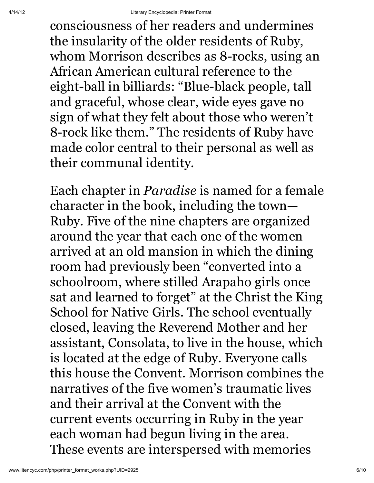consciousness of her readers and undermines the insularity of the older residents of Ruby, whom Morrison describes as 8-rocks, using an African American cultural reference to the eight-ball in billiards: "Blue-black people, tall and graceful, whose clear, wide eyes gave no sign of what they felt about those who weren't 8-rock like them." The residents of Ruby have made color central to their personal as well as their communal identity.

Each chapter in *Paradise* is named for a female character in the book, including the town— Ruby. Five of the nine chapters are organized around the year that each one of the women arrived at an old mansion in which the dining room had previously been "converted into a schoolroom, where stilled Arapaho girls once sat and learned to forget" at the Christ the King School for Native Girls. The school eventually closed, leaving the Reverend Mother and her assistant, Consolata, to live in the house, which is located at the edge of Ruby. Everyone calls this house the Convent. Morrison combines the narratives of the five women's traumatic lives and their arrival at the Convent with the current events occurring in Ruby in the year each woman had begun living in the area. These events are interspersed with memories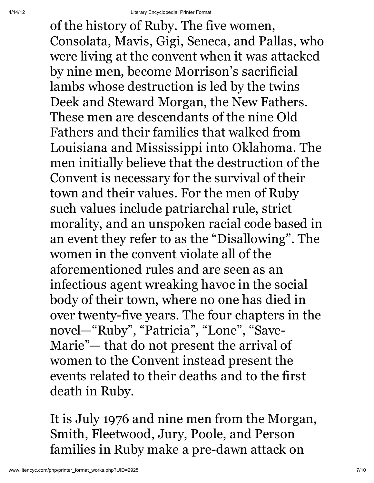of the history of Ruby. The five women, Consolata, Mavis, Gigi, Seneca, and Pallas, who were living at the convent when it was attacked by nine men, become Morrison's sacrificial lambs whose destruction is led by the twins Deek and Steward Morgan, the New Fathers. These men are descendants of the nine Old Fathers and their families that walked from Louisiana and Mississippi into Oklahoma. The men initially believe that the destruction of the Convent is necessary for the survival of their town and their values. For the men of Ruby such values include patriarchal rule, strict morality, and an unspoken racial code based in an event they refer to as the "Disallowing". The women in the convent violate all of the aforementioned rules and are seen as an infectious agent wreaking havoc in the social body of their town, where no one has died in over twenty-five years. The four chapters in the novel—"Ruby", "Patricia", "Lone", "Save-Marie"— that do not present the arrival of women to the Convent instead present the events related to their deaths and to the first death in Ruby.

It is July 1976 and nine men from the Morgan, Smith, Fleetwood, Jury, Poole, and Person families in Ruby make a pre-dawn attack on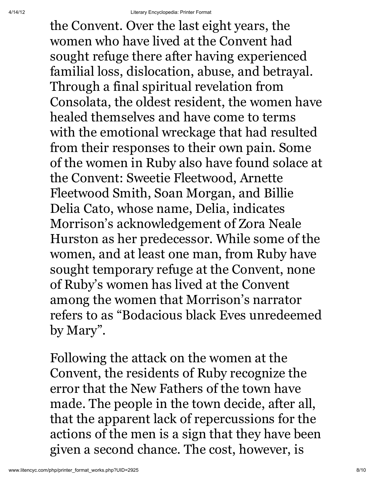the Convent. Over the last eight years, the women who have lived at the Convent had sought refuge there after having experienced familial loss, dislocation, abuse, and betrayal. Through a final spiritual revelation from Consolata, the oldest resident, the women have healed themselves and have come to terms with the emotional wreckage that had resulted from their responses to their own pain. Some of the women in Ruby also have found solace at the Convent: Sweetie Fleetwood, Arnette Fleetwood Smith, Soan Morgan, and Billie Delia Cato, whose name, Delia, indicates Morrison's acknowledgement of Zora Neale Hurston as her predecessor. While some of the women, and at least one man, from Ruby have sought temporary refuge at the Convent, none of Ruby's women has lived at the Convent among the women that Morrison's narrator refers to as "Bodacious black Eves unredeemed by Mary".

Following the attack on the women at the Convent, the residents of Ruby recognize the error that the New Fathers of the town have made. The people in the town decide, after all, that the apparent lack of repercussions for the actions of the men is a sign that they have been given a second chance. The cost, however, is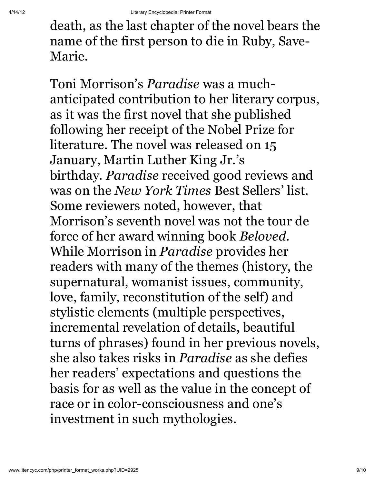death, as the last chapter of the novel bears the name of the first person to die in Ruby, Save-Marie.

Toni Morrison's *Paradise* was a muchanticipated contribution to her literary corpus, as it was the first novel that she published following her receipt of the Nobel Prize for literature. The novel was released on 15 January, Martin Luther King Jr.'s birthday. *Paradise* received good reviews and was on the *New York Times* Best Sellers' list. Some reviewers noted, however, that Morrison's seventh novel was not the tour de force of her award winning book *Beloved*. While Morrison in *Paradise* provides her readers with many of the themes (history, the supernatural, womanist issues, community, love, family, reconstitution of the self) and stylistic elements (multiple perspectives, incremental revelation of details, beautiful turns of phrases) found in her previous novels, she also takes risks in *Paradise* as she defies her readers' expectations and questions the basis for as well as the value in the concept of race or in color-consciousness and one's investment in such mythologies.